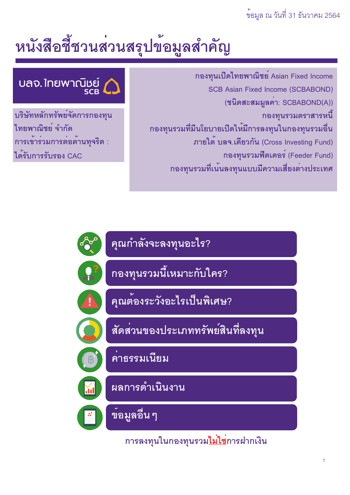# หนังสือชี้ชวนส่วนสรุปข้อมูลสำคัญ

ึกองทุนเปิดไทยพาณิชย์ Asian Fixed Income **SCB Asian Fixed Income (SCBABOND)** (ชนิดสะสมมูลคา: SCBABOND(A)) กองทุนรวมตราสารหนี้ กองทุนรวมที่มีนโยบายเบืดให<sup>้</sup>มีการลงทุนในกองทุนรวมอื่น ภายใต<sup>้</sup> บลจ.เดียวกัน (Cross Investing Fund) กองทุนรวมฟิดเดอร์ (Feeder Fund) กองทุนรวมที่เน<sup>้</sup>นลงทุนแบบมีความเสี่ยงต<sup>่</sup>างประเทศ

# บลจ. ใทยพาณิชย์

บริษัทหลักทรัพย์จัดการกองทุน ไทยพาณิชย์ จำกัด การเข้าร่วมการต่อต้านทุจริต : ได*้*รับการรับรอง CAC



ิการลงทุนในกองทุนรวม<u>ไม่ใช</u>่การฝากเงิน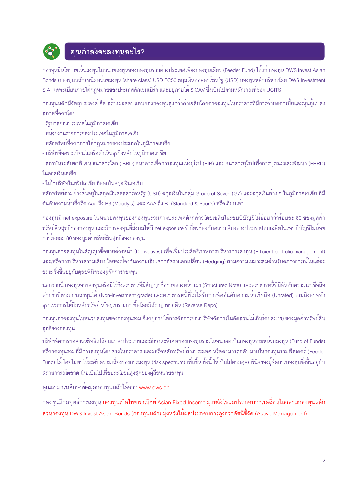

## คุณกำลังจะลงทุนอะไร?

ิ กองทุนมีนโยบายเน<sup>้</sup>นลงทุนในหน<sup>่</sup>วยลงทุนของกองทุนรวมต่างประเทศเพียงกองทุนเดียว (Feeder Fund) ได้แก<sup>่</sup> กองทุน DWS Invest Asian Bonds (กองทุนหลัก) ชนิดหน<sup>่</sup>วยลงทุน (share class) USD FC50 สกุลเงินดอลลาร<sup>์</sup>สหรัฐ (USD) กองทุนหลักบริหารโดย DWS Investment S.A. จดทะเบียนภายใต<sup>้</sup>กฎหมายของประเทศลักเซมเบิร์ก และอยู่ภายใต<sup>้</sup> SICAV ซึ่งเป็นไปตามหลักเกณฑ์ของ UCITS

ึกองทุนหลักมีวัตถุประสงค์ คือ สร้างผลตอบแทนของกองทุนสูงกว่าคาเฉลี่ยโดยอาจลงทุนในตราสารที่มีการจายดอกเบี้ยและหุ้นกู้แปลง สภาพที่ออกโดย

- รัฐบาลของประเทศในภูมิภาคเอเชีย
- หน่วยงานราชการของประเทศในภูมิภาคเอเชีย
- หลักทรัพย์ที่ออกภายใต<sup>้</sup>กฎหมายของประเทศในภูมิภาคเอเชีย
- บริษัทที่จดทะเบียนในหรือดำเนินธุรกิจหลักในภูมิภาคเอเชีย

- สถาบันระดับชาติ เช่น ธนาคารโลก (IBRD) ธนาคารเพื่อการลงทุนแห่งยุโรป (EIB) และ ธนาคารยุโรปเพื่อการบูรณะและพัฒนา (EBRD) ในสกุลเงินเอเชีย

- ไม่ใช่บริษัทในทวีปเอเชีย ที่ออกในสกุลเงินเอเชีย

หลักทรัพย์ตามข้างตนอยู่ในสกุลเงินดอลลาร์สหรัฐ (USD) สกุลเงินในกลุ่ม Group of Seven (G7) และสกุลเงินต<sup>่</sup>าง ๆ ในภูมิภาคเอเชีย ที่มี ้อันดับความน่าเชื่อถือ Aaa ถึง B3 (Moody's) และ AAA ถึง B- (Standard & Poor's) หรือเทียบเท่า

ิกองทุนมี net exposure ในหน<sup>่</sup>วยลงทุนของกองทุนรวมต่างประเทศดังกล<sup>่</sup>าวโดยเฉลี่ยในรอบปีบัญชีไม่น้อยกว่าร้อยละ 80 ของมูลค่า ิ ทรัพย์สินสุทธิของกองทุน และมีการลงทุนที่ส่งผลให้มี net exposure ที่เกี่ยวข้องกับความเสี่ยงต่างประเทศโดยเฉลี่ยในรอบปีบัญชีไม่น้อย ้กว่าร้อยละ 80 ของมูลค่าทรัพย์สินสุทธิของกองทุน

ิกองทุนอาจลงทุนในสัญญาซื้อขายลวงหน้า (Derivatives) เพื่อเพิ่มประสิทธิภาพการบริหารการลงทุน (Efficient portfolio management) และ/หรือการบริหารความเสี่ยง โดยจะป้องกันความเสี่ยงจากอัตราแลกเปลี่ยน (Hedging) ตามความเหมาะสมสำหรับสภาวการณ์ในแต่ละ ขณะ ซึ่งขึ้นอยู่กับดุลยพินิจของผู้จัดการกองทุน

ินอกจากนี้ กองทุนอาจลงทุนหรือมีไว้ซึ่งตราสารที่มีสัญญาซื้อขายลวงหนาแฝง (Structured Note) และตราสารหนี้ที่มีอันดับความน่าเชื่อถือ ้ ต่ำกว่าที่สามารถลงทุนได้ (Non-investment grade) และตราสารหนี้ที่ไม่ได้รับการจัดอันดับความนาเชื่อถือ (Unrated) รวมถึงอาจทำ ธุรกรรมการให**้ยืมหลักทรัพย**์ หรือธุรกรรมการซื้อโดยมีสัญญาขายคืน (Reverse Repo)

้ กองทุนอาจลงทุนในหน่วยลงทุนของกองทุนรวม ซึ่งอยู่ภายใต้การจัดการของบริษัทจัดการในสัดส่วนไม่เกินร้อยละ 20 ของมูลค่าทรัพย์สิน สุทธิของกองทุน

้บริษัทจัดการขอสงวนสิทธิเปลี่ยนแปลงประเภทและลักษณะพิเศษของกองทุนรวมในอนาคตเป็นกองทุนรวมหน<sup>่</sup>วยลงทุน (Fund of Funds) หรือกองทุนรวมที่มีการลงทุนโดยตรงในตราสาร และ/หรือหลักทรัพย์ต่างประเทศ หรือสามารถกลับมาเป็นกองทุนรวมพีดเดอร์ (Feeder Fund) ได้ โดยไม่ทำให้ระดับความเสี่ยงของการลงทุน (risk spectrum) เพิ่มขึ้น ทั้งนี้ ให้เป็นไปตามดุลยพินิจของผู้จัดการกองทุนซึ่งขึ้นอยู่กับ ิสถานการณ์ตลาด โดยเป็นไปเพื่อประโยชน์สูงสุดของผู้ถือหน่วยลงทุน

้ คุณสามารถศึกษาข้อมูลกองทุนหลักได<sup>้</sup>จาก www.dws.ch

ิ กองทุนมีกลยุทธ์การลงทุน กองทุนเปิดไทยพาณิชย์ Asian Fixed Income มุ่งหวังให้ผลประกอบการเคลื่อนไหวตามกองทุนหลัก ้ ส่วนกองทุน DWS Invest Asian Bonds (กองทุนหลัก) มุ่งหวังให้ผลประกอบการสูงกว<sup>่</sup>าดัชนีชี้วัด (Active Management)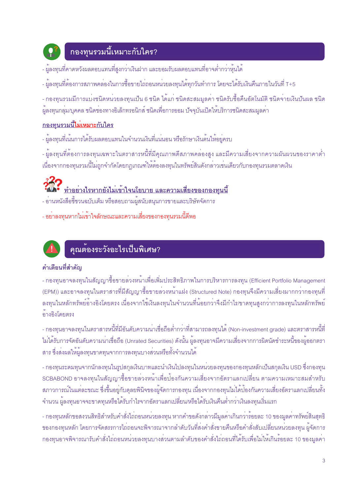

## <u>กองทุนรวมนี้เหมาะกับใคร?</u>

- ผู้ลงทุนที่คาดหวังผลตอบแทนที่สูงกว<sup>่</sup>าเงินฝาก และยอมรับผลตอบแทนที่อาจต่ำกว่าหุ้นได<sup>้</sup>
- ผู้ลงทุนที่ต้องการสภาพคล<sup>่</sup>องในการซื้อขายไถ<sup>่</sup>ถอนหน<sup>่</sup>วยลงทุนได<sup>้</sup>ทุกวันทำการ โดยจะได<sup>้</sup>รับเงินคืนภายในวันที่ T+5
- กองทุนรวมมีการแบ่งชนิดหน่วยลงทุนเป็น 6 ชนิด ได้แก่ ชนิดสะสมมูลค่า ชนิดรับซื้อคืนอัตโนมัติ ชนิดจ่ายเงินปันผล ชนิด ้ผู้ลงทุนกลุ่ม/บุคคล ชนิดช่องทางอิเล็กทรอนิกส์ ชนิดเพื่อการออม บัจจุบันเปิดให้บริการชนิดสะสมมูลค่า

## <u>กองทุนรวมนี้ไม่เหมาะกับใคร</u>

- ผู้ลงทุนที่เน<sup>็</sup>นการได<sup>้</sup>รับผลตอบแทนในจำนวนเงินที่แน<sup>่</sup>นอน หรือรักษาเงินต<sup>้</sup>นให้อยู่ครบ
- ผู้ลงทุนที่ต้องการลงทุนเฉพาะในตราสารหนี้ที่มีคุณภาพดีสภาพคล่องสูง และมีความเสี่ยงจากความผันผวนของราคาต่ำ เนื่องจากกองทุนรวมนี้ไม่ถูกจำกัดโดยกฎเกณฑ์ให้ต้องลงทุนในทรัพย์สินดังกล**่าวเช**่นเดียวกับกองทุนรวมตลาดเงิน

# 322 ทำอย่างไรหากยังไม่เข้าใจนโยบาย และความเสี่ยงของกองทุนนี้

- อ่านหนังสือชี้ชวนฉบับเต็ม หรือสอบถามผู้สนับสนุนการขายและบริษัทจัดการ
- อย่าลงทุนหากไม่เข้าใจลักษณะและความเสี่ยงของกองทุนรวมนี้ดีพอ



## คุณต้องระวังอะไรเป็นพิเศษ?

#### คำเตือนที่สำคัญ

- กองทุนอาจลงทุนในสัญญาซื้อขายล<sup>่</sup>วงหน้าเพื่อเพิ่มประสิทธิภาพในการบริหารการลงทุน (Efficient Portfolio Management (EPM)) และอาจลงทุนในตราสารที่มีสัญญาซื้อขายล<sup>่</sup>วงหน<sup>้</sup>าแฝง (Structured Note) กองทุนจึงมีความเสี่ยงมากกว<sup>่</sup>ากองทุนที่ ้ ลงทุนในหลักทรัพย์อ้างอิงโดยตรง เนื่องจากใช้เงินลงทุนในจำนวนที่น้อยกว<sup>่</sup>าจึงมีกำไร/ขาดทุนสูงกว<sup>่</sup>าการลงทุนในหลักทรัพย<sup>์</sup> ค้างคิงโดยตรง

- กองทุนอาจลงทุนในตราสารหนี้ที่มีอันดับความน<sup>่</sup>าเชื่อถือต่ำกว<sup>่</sup>าที่สามารถลงทุนได<sup>้</sup> (Non-investment grade) และตราสารหนี้ที่ ไม่ได้รับการจัดอันดับความน่าเชื่อถือ (Unrated Securities) ดังนั้น ผู้ลงทุนอาจมีความเสี่ยงจากการผิดนัดชำระหนี้ของผู้ออกตรา สาร ซึ่งส่งผลให้ผู้ลงทุนขาดทุนจากการลงทุนบางส่วนหรือทั้งจำนวนได้

- กองทุนระดมทุนจากนักลงทุนในรูปสกุลเงินบาทและนำเงินไปลงทุนในหน<sup>่</sup>วยลงทุนของกองทุนหลักเป็นสกุลเงิน USD ซึ่งกองทุน SCBABOND อาจลงทุนในสัญญาซื้อขายลวงหน้าเพื่อป้องกันความเสี่ยงจากอัตราแลกเปลี่ยน ตามความเหมาะสมสำหรับ ิสภาวการณ์ในแต่ละขณะ ซึ่งขึ้นอยู่กับดุลยพินิจของผู้จัดการกองทุน เนื่องจากกองทุนไม่ได้ปองกันความเสี่ยงอัตราแลกเปลี่ยนทั้ง ้จำนวน ผู้ลงทุนอาจจะขาดทุนหรือได้รับกำไรจากอัตราแลกเปลี่ยน/หรือได้รับเงินคืนต่ำกว่าเงินลงทุนเริ่มแรก

- กองทุนหลักขอสงวนสิทธิสำหรับคำสั่งไถ<sup>่</sup>ถอนหน<sup>่</sup>วยลงทุน หากคำขอดังกล**่าวมีมูลค**่าเกินกว่าร<sup>ั</sup>อยละ 10 ของมูลค่าทรัพย<sup>์</sup>สินสุทธิ ้ของกองทุนหลัก โดยการจัดสรรการไถ่ถอนจะพิจารณาจากลำดับวันที่ส่งคำสั่งขายคืนหรือคำสั่งสับเปลี่ยนหน่วยลงทุน ผู้จัดการ ้ กองทุนอาจพิจารณารับคำสั่งไถ่ถอนหน่วยลงทุนบางส่วนตามลำดับของคำสั่งไถ่ถอนที่ได้รับเพื่อไม่ให้เกินร้อยละ 10 ของมูลค่า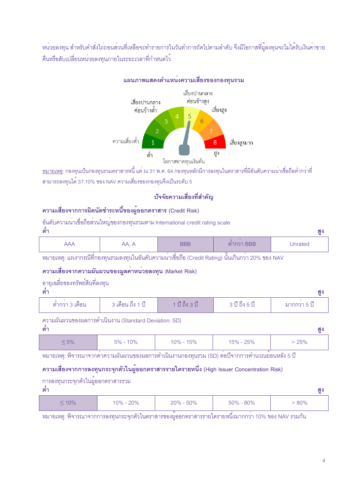หน่วยลงทุน สำหรับคำสั่งไถ่ถอนส่วนที่เหลือจะทำรายการในวันทำการถัดไปตามลำดับ จึงมีโอกาสที่ผู้ลงทุนจะไม่ได้รับเงินค่าขาย คืนหรือสับเปลี่ยนหน<sup>่</sup>วยลงทุนภายในระยะเวลาที่กำหนดไว<sup>้</sup>

#### แผนภาพแสดงตำแหน่งความเสี่ยงของกองทุนรวม เสียงปานกลาง คอนข้างสง เสียงปานกลาง ค่อนข้างต่ำ เสียงสง  $\overline{5}$  $\epsilon$ 3  $\overline{2}$ <sub>ิ</sub> ความเสี่ยงต่ำ  $\overline{8}$ ้เสียงสูงมาก สง ู้ต่ำ โอกาสขาดทนเงินต้น

<u>ูหมายเหต</u>: กองทุนเป็นกองทุนรวมตราสารหนี้ แต่ ณ 31 พ.ค. 64 กองทุนหลักมีการลงทุนในตราสารที่มีอันดับความน<sup>่</sup>าเชื่อถือต่ำกว<sup>่</sup>าที่ ี สามารถลงทุนได<sup>้</sup> 37.10% ของ NAV ความเสี่ยงของกองทุนจึงเป็นระดับ 5

### บ้าจัยความเสี่ยงที่สำคัญ

## ิ ความเสี่ยงจากการผิดนัดชำระหนี้ของผ<sup>้</sup>ออกตราสาร (Credit Risk)

|     |  |  | ้อันดับความน <sup>่</sup> าเชื่อถือส <sup>่</sup> วนใหญ <sup>่</sup> ของกองทุนรวมตาม International credit rating scale |  |  |
|-----|--|--|------------------------------------------------------------------------------------------------------------------------|--|--|
|     |  |  |                                                                                                                        |  |  |
|     |  |  |                                                                                                                        |  |  |
|     |  |  |                                                                                                                        |  |  |
| ิตา |  |  |                                                                                                                        |  |  |
|     |  |  |                                                                                                                        |  |  |

| $\overline{ }$ | v<br>. . | ___ | ,<br>____ |  |
|----------------|----------|-----|-----------|--|
|                |          |     | . .       |  |

ิ หมายเหตุ: แรเงากรณีที่กองทุนรวมลงทุนในอันดับความน<sup>่</sup>าเชื่อถือ (Credit Rating) นั้นเกินกว<sup>่</sup>า 20% ของ NAV

#### ิ ความเสี่ยงจากความผันผวนของมูลคาหน่วยลงทุน (Market Risk)

## อายุเฉลี่ยของทรัพย์สินที่ลงทุน

ക്

| <b>VII</b>      |                              |          | . . |
|-----------------|------------------------------|----------|-----|
| ์ ตำกวา 3 เด๋อน | ่ 3 เดือน ถึง <sup>4</sup> 1 | U 6N 3 U |     |

ความผันผวนของผลการดำเนินงาน (Standard Deviation: SD)

้ต่ำ

| $-5\%$ | 10%<br>$5\%$ - | $10\% - 15\%$ | 15% - 25% | 25% |
|--------|----------------|---------------|-----------|-----|
|        |                |               |           |     |

ิ หมายเหตุ: พิจารณาจากค<sup>่</sup>าความผันผวนของผลการดำเนินงานกองทุนรวม (SD) ต<sup>่</sup>อปีจากการคำนวณย<sup>้</sup>อนหลัง 5 ปี

## ิ ความเสี่ยงจากการลงทุนกระจุกตัวในผู้ออกตราสารรายใดรายหนึ่ง (High Issuer Concentration Risk)

#### การลงทุนกระจุกตัวในผู้ออกตราสารรวม

้ต่ำ

|  | 10% | 20%<br>$\bigcap_{\alpha} O_{\alpha}$ | $20\% - 50\%$ | $50\% - 80\%$ | 80% |
|--|-----|--------------------------------------|---------------|---------------|-----|
|--|-----|--------------------------------------|---------------|---------------|-----|

ิ หมายเหตุ: พิจารณาจากการลงทุนกระจุกตัวในตราสารของผู้ออกตราสารรายใดรายหนึ่งมากกว่า 10% ของ NAV รวมกัน

สูง

 $\alpha$ 

สง

สง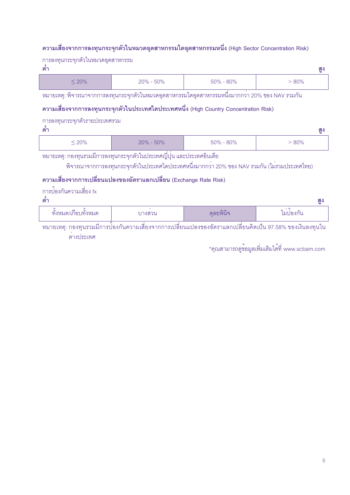## ิ ความเสี่ยงจากการลงทุนกระจุกตัวในหมวดอุตสาหกรรมใดอุตสาหกรรมหนึ่ง (High Sector Concentration Risk)

| าการลงทุนกระจุกตัวในหมวดอุตสาหกรรม<br>์ ต่ำ               |                                                                                                                      |               | ଶ୍ମୁ     |  |  |  |
|-----------------------------------------------------------|----------------------------------------------------------------------------------------------------------------------|---------------|----------|--|--|--|
| $\leq 20\%$                                               | $20\% - 50\%$                                                                                                        | $50\% - 80\%$ | $> 80\%$ |  |  |  |
|                                                           | หมายเหตุ: พิจารณาจากการลงทุนกระจุกตัวในหมวดอุตสาหกรรมใดอุตสาหกรรมหนึ่งมากกวา 20% ของ NAV รวมกัน                      |               |          |  |  |  |
|                                                           | ี ความเสี่ยงจากการลงทุนกระจุกตัวในประเทศใดประเทศหนึ่ง (High Country Concentration Risk)                              |               |          |  |  |  |
| การลงทุนกระจุกตัวรายประเทศรวม<br>ต้า                      |                                                                                                                      |               | ଶ୍ମୁ     |  |  |  |
| $20\% - 50\%$<br>$50\% - 80\%$<br>$\leq 20\%$<br>$> 80\%$ |                                                                                                                      |               |          |  |  |  |
|                                                           | หมายเหตุ: กองทุนรวมมีการลงทุนกระจุกตัวในประเทศญี่ปุ่น และประเทศอินเดีย                                               |               |          |  |  |  |
|                                                           | ี พิจารณาจากการลงทุนกระจุกตัวในประเทศใดประเทศหนึ่งมากกว <sup>่</sup> า 20% ของ NAV รวมกัน (ไม <b>่</b> รวมประเทศไทย) |               |          |  |  |  |

้ ความเสี่ยงจากการเปลี่ยนแปลงของอัตราแลกเปลี่ยน (Exchange Rate Risk)

| การปองกันความเสียง fx |  |
|-----------------------|--|

| ۰,            |  |
|---------------|--|
| $\mathcal{L}$ |  |

| $\sim$<br>เก่อบทั้งหมด<br>90.9989<br><u>ا الإالا</u> ل∧ن | 1.9Q091<br><b>NET 9 19</b> | $\bigcap$<br><u>ାଆୋର । ଓ</u> | $^{\circ}$<br>. .<br>'องกน |
|----------------------------------------------------------|----------------------------|------------------------------|----------------------------|

์<br>"หมายเหตุ: กองทุนรวมมีการป้องกันความเสี่ยงจากการเปลี่ยนแปลงของอัตราแลกเปลี่ยนคิดเป็น 97.58% ของเงินลงทุนใน ์<br>ต่างประเทศ

\*คุณสามารถดูข้อมูลเพิ่มเติมได<sup>้</sup>ที่ www.scbam.com

สง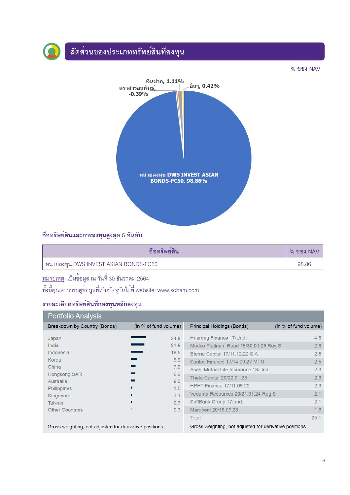## ์<br>สัดส<sup>่</sup>วนของประเภททรัพย์สินที่ลงทุน



## ชื่อทรัพย์สินและการลงทุนสูงสุด 5 อันดับ

| ชอทรพยสน                              | $%$ ของ NAV $^{\prime}$ |
|---------------------------------------|-------------------------|
| หนวยลงทุน DWS INVEST ASIAN BONDS-FC50 | 98.86                   |

## <u>หมายเหตุ</u>: เป็นข<sup>้</sup>อมูล ณ วันที่ 30 ธันวาคม 2564

ทั้งนี้คุณสามารถดูข<sup>้</sup>อมูลที่เป็นบัจจุบันได<sup>้</sup>ที่ website: www.scbam.com

## รายละเอียดทรัพย์สินที่กองทุนหลักลงทุน

| Portfolio Analysis                                                                                                                    |                                                                                    |                                                                                                                                                                                                                                                                                                              |                                                             |
|---------------------------------------------------------------------------------------------------------------------------------------|------------------------------------------------------------------------------------|--------------------------------------------------------------------------------------------------------------------------------------------------------------------------------------------------------------------------------------------------------------------------------------------------------------|-------------------------------------------------------------|
| Breakdown by Country (Bonds)                                                                                                          | (in % of fund volume)                                                              | Principal Holdings (Bonds)                                                                                                                                                                                                                                                                                   | (in % of fund volume)                                       |
| Japan<br>India<br>Indonesia<br>Korea<br>China<br><b>Hongkong SAR</b><br>Australia<br><b>Philippines</b><br>Singapore<br><b>Taiwan</b> | 24.8<br>21.6<br>18.5<br>9.9 <sub>°</sub><br>7.0<br>6.9<br>6.0<br>1.5<br>1.1<br>0.7 | Huarong Finance 17/Und.<br>Medco Platinum Road 18/30.01.25 Reg S<br>Eterna Capital 17/11.12.22 S.A<br>Santos Finance 17/14.09.27 MTN<br>Asahi Mutual Life Insurance 18/Und.<br>Theta Capital 20/22.01.25<br><b>HPHT Finance 17/11.09.22</b><br>Vedanta Resources 20/21.01.24 Reg S<br>SoftBank Group 17/und. | 4.6<br>2.6<br>2.5<br>2.5<br>2.3<br>2.3<br>2.3<br>2.1<br>2.1 |
| <b>Other Countries</b>                                                                                                                | 0.3                                                                                | Marubeni 20/18.09.25                                                                                                                                                                                                                                                                                         | 1.8                                                         |
|                                                                                                                                       |                                                                                    | Total                                                                                                                                                                                                                                                                                                        | 25.1                                                        |
| Gross weighting, not adjusted for derivative positions.                                                                               |                                                                                    | Gross weighting, not adjusted for derivative positions.                                                                                                                                                                                                                                                      |                                                             |

 $%$  ของ NAV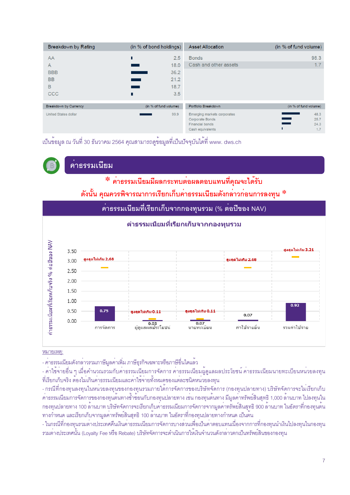| Breakdown by Rating                 | (in % of bond holdings)          | <b>Asset Allocation</b>                                                                             | (in % of fund volume)       |
|-------------------------------------|----------------------------------|-----------------------------------------------------------------------------------------------------|-----------------------------|
| AA<br>A                             | 2.5<br>П<br>18.0                 | <b>Bonds</b><br>Cash and other assets                                                               | 98.3<br>1.7                 |
| <b>BBB</b><br><b>BB</b><br>B<br>CCC | 36.2<br>21.2<br>18.7<br>3.5<br>г |                                                                                                     |                             |
| Breakdown by Currency               | (in % of fund volume)            | Portfolio Breakdown                                                                                 | (in % of fund volume)       |
| <b>United States dollar</b>         | 99.9                             | Emerging markets corporates<br><b>Corporate Bonds</b><br><b>Financial bonds</b><br>Cash equivalents | 48.3<br>25.7<br>24.3<br>1.7 |

เป็นข<sup>้</sup>อมูล ณ วันที่ 30 ธันวาคม 2564 คุณสามารถดูข้อมูลที่เป็นปัจจุบันได<sup>้</sup>ที่ www. dws.ch

้คาธรรมเนียม

\* คาธรรมเนียมมีผลกระทบต่อผลตอบแทนที่คุณจะได้รับ ์ ดังนั้น คุณควรพิจารณาการเรียกเก็บค<sup>่</sup>าธรรมเนียมดังกล**่าวก**่อนการลงทุน \*

คาธรรมเนียมที่เรียกเก็บจากกองทุนรวม (% ต<sup>่</sup>อปีของ NAV)



หมายเหต:

- คาธรรมเนียมดังกลาวรวมภาษีมูลคาเพิ่ม ภาษีธุรกิจเฉพาะหรือภาษีอื่นใดแล<sup>้</sup>ว

- ค่าใช้จ่ายอื่น ๆ เมื่อคำนวณรวมกับค่าธรรมเนียมการจัดการ ค่าธรรมเนียมผู้ดูแลผลประโยชน์ ค่าธรรมเนียมนายทะเบียนหน่วยลงทุน ู้ที่เรียกเก็บจริง ต้องไม่เกินคาธรรมเนียมและคาใช้จ่ายทั้งหมดของแต่ละชนิดหน่วยลงทุน

- กรณีที่กองทุนลงทุนในหนวยลงทุนของกองทุนรวมภายใต<sup>้</sup>การจัดการของบริษัทจัดการ (กองทุนปลายทาง) บริษัทจัดการจะไม**่เรียกเก็บ** ้ ค่าธรรมเนียมการจัดการของกองทุนต้นทางซ้ำซ้อนกับกองทุนปลายทาง เช่น กองทุนต้นทาง มีมูลค่าทรัพย์สินสุทธิ 1,000 ล้านบาท ไปลงทุนใน ึกองทุนปลายทาง 100 ลานบาท บริษัทจัดการจะเรียกเก็บคาธรรมเนียมการจัดการจากมูลคาทรัพย์สินสุทธิ 900 ลานบาท ในอัตราที่กองทุนตน ิ ทางกำหนด และเรียกเก็บจากมูลคาทรัพย์สินสุทธิ 100 ล<sup>้</sup>านบาท ในอัตราที่กองทุนปลายทางกำหนด เป็นต<sup>้</sup>น

- ในกรณีที่กองทุนรวมตางประเทศคืนเงินคาธรรมเนียมการจัดการบางสวนเพื่อเป็นคาตอบแทนเนื่องจากการที่กองทุนนำเงินไปลงทุนในกองทุน ิ รวมต<sup>่</sup>างประเทศนั้น (Loyalty Fee หรือ Rebate) บริษัทจัดการจะดำเนินการให<sup>้</sup>เงินจำนวนดังกล<sup>่</sup>าวตกเป็นทรัพย<sup>์</sup>สินของกองทุน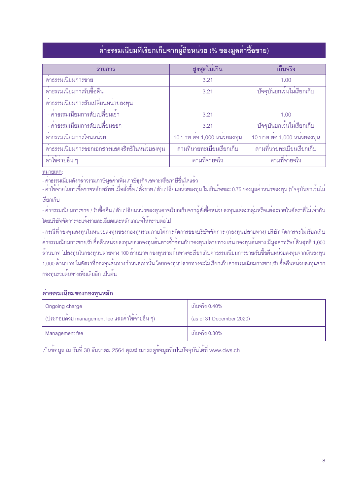## ์ คาธรรมเนียมที่เรียกเก็บจากผู้ถือหน่วย (% ของมูลคาซื้อขาย)

| รายการ                                       | สูงสุดไม่เกิน             | เก็บจริง                                             |
|----------------------------------------------|---------------------------|------------------------------------------------------|
| ์<br>คาธรรมเนียมการขาย                       | 3.21                      | 1.00                                                 |
| ้คาธรรมเนียมการรับซื้อคืน                    | 3.21                      | ปัจจุบันยกเว <sup>้</sup> นไม <sup>่</sup> เรียกเก็บ |
| ้คาธรรมเนียมการสับเปลี่ยนหนวยลงทุน           |                           |                                                      |
| - คาธรรมเนียมการสับเปลี่ยนเข้า               | 3.21                      | 1.00                                                 |
| - คาธรรมเนียมการสับเปลี่ยนออก                | 3.21                      | บ้าจุบันยกเว <sup>้</sup> นไม่เรียกเก็บ              |
| ้คาธรรมเนียมการโอนหน่วย                      | 10 บาท ตอ 1,000 หนวยลงทุน | 10 บาท ตอ 1,000 หนวยลงทุน                            |
| ้คาธรรมเนียมการออกเอกสารแสดงสิทธิในหนวยลงทุน | ตามที่นายทะเบียนเรียกเก็บ | ตามที่นายทะเบียนเรียกเก็บ                            |
| ้ค่าใช้จ่ายอื่น ๆ                            | ตามที่จายจริง             | ตามที่จายจริง                                        |

#### หมายเหตุ:

- ค่าธรรมเนียมดังกล่าวรวมภาษีมูลค่าเพิ่ม ภาษีธุรกิจเฉพาะหรือภาษีอื่นใดแล<sup>้</sup>ว

าว และระบบและระบบ เพราะ และระบบ และระบบ และระบบ และระบบ และระบบ เพราะ และระบบ เพราะ 2015 ของมูลค่าหน่วยลงทุน (บัจจุบันยกเว้นไม่<br>- ค่าใช้จ่ายในการซื้อขายหลักทรัพย์ เมื่อสั่งซื้อ / สั่งขาย / สับเปลี่ยนหน่วยลงทุน ไม่เกินร้อย เรียกเก็บ

- คาธรรมเนียมการขาย / รับซื้อคืน / สับเปลี่ยนหนวยลงทุนอาจเรียกเก็บจากผู้สั่งซื้อหนวยลงทุนแต่ละกลุ่มหรือแต่ละรายในอัตราที่ไม่เท่ากัน โดยบริษัทจัดการจะแจ<sup>้</sup>งรายละเอียดและหลักเกณฑ์ให**้**ทราบต<sup>่</sup>อไป

- กรณีที่กองทุนลงทุนในหน่วยลงทุนของกองทุนรวมภายใต้การจัดการของบริษัทจัดการ (กองทุนปลายทาง) บริษัทจัดการจะไม่เรียกเก็บ ้คาธรรมเนียมการขาย/รับซื้อคืนหน<sup>่</sup>วยลงทุนของกองทุนต<sup>้</sup>นทางซ้ำซ้อนกับกองทุนปลายทาง เช่น กองทุนต<sup>้</sup>นทาง มีมูลคาทรัพย<sup>์</sup>สินสุทธิ 1,000 ์<br>ลานบาท ไปลงทุนในกองทุนปลายทาง 100 ล<sup>้</sup>านบาท กองทุนรวมต<sup>้</sup>นทางจะเรียกเก็บค<sup>่</sup>าธรรมเนียมการขาย/รับซื้อคืนหน่วยลงทุนจากเงินลงทุน 1,000 ล<sup>้</sup>านบาท ในอัตราที่กองทุนต<sup>้</sup>นทางกำหนดเท<sup>่</sup>านั้น โดยกองทุนปลายทางจะไม<sup>่</sup>เรียกเก็บค<sup>่</sup>าธรรมเนียมการขาย/รับซื้อคืนหน<sup>่</sup>วยลงทุนจาก ึกองทุนรวมต้นทางเพิ่มเติมอีก เป็นต้น

#### ้ค่าธรรมเนียมของกองทุนหลัก

| Ongoing charge                                     | เก็บจริง 0.40%           |
|----------------------------------------------------|--------------------------|
| ี่ (ประกอบด้วย management fee และค่าใช้จ่ายอื่น ๆ) | (as of 31 December 2020) |
| Management fee                                     | เก็บจริง 0.30%           |

ู<br>เป็นข้อมูล ณ วันที่ 30 ธันวาคม 2564 คุณสามารถดูข้อมูลที่เป็นปัจจุบันได<sup>้</sup>ที่ www.dws.ch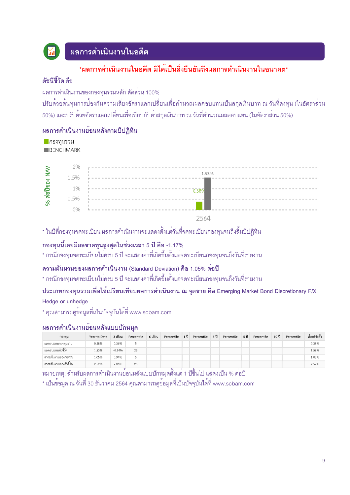

## ้ผลการดำเนินงานในอดีต

## \*ผลการดำเนินงานในคดีต มิได<sup>้</sup>เป็นสิ่งยืนยันถึงผลการดำเนินงานในคนาคต\*

#### ดัชนีสี้วัด คือ

ี่ ผลการดำเนินงานของกองทุนรวมหลัก สัดส่วน 100%

้ ปรับด้วยต้นทุนการป้องกันความเสี่ยงอัตราแลกเปลี่ยนเพื่อคำนวณผลตอบแทนเป็นสกุลเงินบาท ณ วันที่ลงทุน (ในอัตราส่วน 50%) และปรับด้วยอัตราแลกเปลี่ยนเพื่อเทียบกับค<sup>่</sup>าสกุลเงินบาท ณ วันที่คำนวณผลตอบแทน (ในอัตราส<sup>่</sup>วน 50%)

## ้ผลการดำเนินงานย<sup>้</sup>อนหลังตามปีปฏิทิน

**| กองทนรวม** BENCHMARK

|            | 2%   |       |
|------------|------|-------|
|            | 15%  | 1.53% |
| , ต่อปีของ | 1%   |       |
|            | 0.5% |       |
|            | 0%   |       |
|            |      | 2564  |

\* ในปีที่กองทุนจดทะเบียน ผลการดำเนินงานจะแสดงตั้งแต่วันที่จดทะเบียนกองทุนจนถึงสิ้นปีปฏิทิน

## ึกองทุนนี้เคยมีผลขาดทุนสูงสุดในช่วงเวลา 5 ปี คือ -1.17%

\* กรณีกองทนจดทะเบียนไม่ครบ 5 ปี จะแสดงคาที่เกิดขึ้นตั้งแต่จดทะเบียนกองทุนจนถึงวันที่รายงาน

#### ้ ความผันผวนของผลการดำเนินงาน (Standard Deviation) คือ 1.05% ต่อปี

\* กรณีกองทุนจดทะเบียนไม<sup>่</sup>ครบ 5 ปี จะแสดงค<sup>่</sup>าที่เกิดขึ้นตั้งแต<sup>่</sup>จดทะเบียนกองทุนจนถึงวันที่รายงาน

## ประเภทกองทุนรวมเพื่อใช<sup>้</sup>เปรียบเทียบผลการดำเนินงาน ณ จุดขาย คือ Emerging Market Bond Discretionary F/X

Hedge or unhedge

\* คุณสามารถดูข้อมูลที่เป็นปัจจุบันได<sup>้</sup>ที่ www.scbam.com

#### ผลการดำเนินงานย<sup>้</sup>อนหลังแบบป*้*กหมด

| กองทน                  | Year to Date | 3 เดือน   | Percentile | 6 เดือน | Percentile | 1 ปี | Percentile | 3 ปี | Percentile | 5 ปี | Percentile | 10 ปี | Percentile | ตั้งแต่จัดตั้ง |
|------------------------|--------------|-----------|------------|---------|------------|------|------------|------|------------|------|------------|-------|------------|----------------|
| ผลตอบแทนกองทนรวม       | 0.38%        | 0.36%     |            |         |            |      |            |      |            |      |            |       |            | 0.38%          |
| ผลตอบแทนตัวซี้วัด      | 1.53%        | $-0.1496$ | 25         |         |            |      |            |      |            |      |            |       |            | 1.53%          |
| ความผันผวนของกองทน     | 1.05%        | 0.94%     |            |         |            |      |            |      |            |      |            |       |            | 1.05%          |
| ความผันผวนของตัวซี้วัด | 2.52%        | 2.06%     | 25         |         |            |      |            |      |            |      |            |       |            | 2.52%          |

้หมายเหตุ: สำหรับผลการดำเนินงานย<sup>้</sup>อนหลังแบบปักหมุดตั้งแต่ 1 ปีขึ้นไป แสดงเป็น % ต่อปี

\* เป็นข้อมูล ณ วันที่ 30 ธันวาคม 2564 คุณสามารถดูข้อมูลที่เป็นปัจจุบันได้ที่ www.scbam.com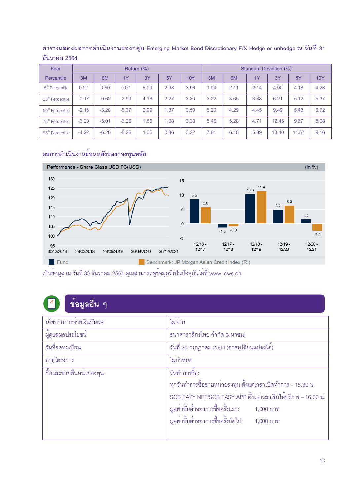| Peer                        | Return $(\%)$ |         |         |      |      |      | Standard Deviation (%) |      |      |       |       |            |
|-----------------------------|---------------|---------|---------|------|------|------|------------------------|------|------|-------|-------|------------|
| Percentile                  | 3M            | 6M      | 1Y      | 3Y   | 5Y   | 10Y  | 3M                     | 6M   | 1Y   | 3Y    | 5Y    | <b>10Y</b> |
| 5 <sup>th</sup> Percentile  | 0.27          | 0.50    | 0.07    | 5.09 | 2.98 | 3.96 | 1.94                   | 2.11 | 2.14 | 4.90  | 4.18  | 4.28       |
| $25m$ Percentile            | $-0.17$       | $-0.62$ | $-2.99$ | 4.18 | 2.27 | 3.80 | 3.22                   | 3.65 | 3.38 | 6.21  | 5.12  | 5.37       |
| 50 <sup>th</sup> Percentile | $-2.16$       | $-3.28$ | $-5.37$ | 2.99 | 1.37 | 3.59 | 5.20                   | 4.29 | 4.45 | 9.49  | 5.48  | 6.72       |
| 75 <sup>th</sup> Percentile | $-3.20$       | $-5.01$ | $-6.26$ | 1.86 | 1.08 | 3.38 | 5.46                   | 5.28 | 4.71 | 12.45 | 9.67  | 8.08       |
| 95 <sup>th</sup> Percentile | $-4.22$       | $-6.28$ | $-8.26$ | 1.05 | 0.86 | 3.22 | 7.81                   | 6.18 | 5.89 | 13.40 | 11.57 | 9.16       |

## ี ตารางแสดงผลการดำเนินงานของกลุ่ม Emerging Market Bond Discretionary F/X Hedge or unhedge ณ วันที่ 31 <u>ธันวาคม 2564</u>

## ผลการดำเนินงานย<sup>้</sup>อนหลังของกองทุนหลัก



เป็นข<sup>้</sup>อมูล ณ วันที่ 30 ธันวาคม 2564 คุณสามารถดูข้อมูลที่เป็นปัจจุบันได<sup>้</sup>ที่ www. dws.ch

## <u>ข้อม</u>ูลอื่น ๆ

| นโยบายการจายเงินปันผล        | ไม่จ่าย                                                        |
|------------------------------|----------------------------------------------------------------|
| ้<br>ผู้ดูแลผลประโยชน์       | ธนาคารกสิกรไทย จำกัด (มหาชน)                                   |
| วันที่จดทะเบียน              | ้วันที่ 20 กรกฎาคม 2564 (อาจเปลี่ยนแปลงได)                     |
| อายุโครงการ                  | ไม่กำหนด                                                       |
| ์<br>ชื่อและขายคืนหน่วยลงทุน | <u>วันทำการขี้อ:</u>                                           |
|                              | ทุกวันทำการซื้อขายหน่วยลงทุน ตั้งแต่เวลาเปิดทำการ – 15.30 น.   |
|                              | SCB EASY NET/SCB EASY APP ตั้งแต่เวลาเริ่มให้บริการ - 16.00 น. |
|                              | มูลค่าขั้นต่ำของการซื้อครั้งแรก: 1,000 บาท                     |
|                              | มูลค่าขั้นต่ำของการซื้อครั้งถัดไป: 1,000 บาท                   |
|                              |                                                                |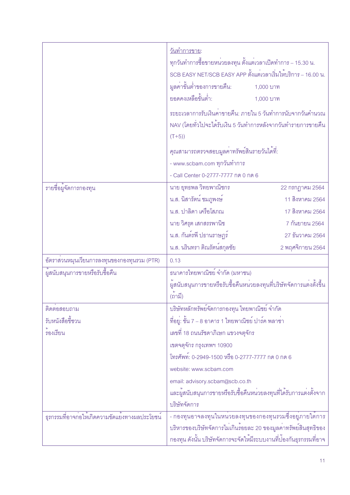|                                                           | วั <u>นทำการขาย</u> :<br>ทุกวันทำการซื้อขายหน <sup>่</sup> วยลงทุน ตั้งแต่เวลาเปิดทำการ – 15.30 น.<br>SCB EASY NET/SCB EASY APP ตั้งแต่เวลาเริ่มให้บริการ – 16.00 น.<br>มูลค่าขั้นต่ำของการขายคืน:<br>ยอดคงเหลือขั้นต่ำ:<br>ระยะเวลาการรับเงินคาขายคืน: ภายใน 5 วันทำการนับจากวันคำนวณ<br>NAV (โดยทั่วไปจะได <sup>้</sup> รับเงิน 5 วันทำการหลังจากวันทำรายการขายคืน<br>$(T+5)$<br>คุณสามารถตรวจสอบมูลค่าทรัพย์สินรายวันได <sup>้</sup> ที่:<br>- www.scbam.com ทุกวันทำการ<br>- Call Center 0-2777-7777 กด 0 กด 6 | 1,000 บาท<br>1,000 บาท |
|-----------------------------------------------------------|--------------------------------------------------------------------------------------------------------------------------------------------------------------------------------------------------------------------------------------------------------------------------------------------------------------------------------------------------------------------------------------------------------------------------------------------------------------------------------------------------------------------|------------------------|
| รายชื่อผู้จัดการกองทุน                                    | นาย ยุทธพล วิทยพาณิชกร                                                                                                                                                                                                                                                                                                                                                                                                                                                                                             | 22 กรกฎาคม 2564        |
|                                                           | น.ส. นิสารัตน์ ชมภูพงษ์                                                                                                                                                                                                                                                                                                                                                                                                                                                                                            | 11 สิงหาคม 2564        |
|                                                           | น.ส. ปาลิดา เครือโสภณ                                                                                                                                                                                                                                                                                                                                                                                                                                                                                              | 17 สิงหาคม 2564        |
|                                                           | นาย วิศรุต เสกสรรพานิช                                                                                                                                                                                                                                                                                                                                                                                                                                                                                             | 7 กันยายน 2564         |
|                                                           | น.ส. กันต์รพี ปธานราษฎร์                                                                                                                                                                                                                                                                                                                                                                                                                                                                                           | 27 ธันวาคม 2564        |
|                                                           | น.ส. นรินทรา ติณรัตน์สกุลชัย                                                                                                                                                                                                                                                                                                                                                                                                                                                                                       | 2 พฤศจิกายน 2564       |
| อัตราส <sup>่</sup> วนหมุนเวียนการลงทุนของกองทุนรวม (PTR) | 0.13                                                                                                                                                                                                                                                                                                                                                                                                                                                                                                               |                        |
| ผู้สนับสนุนการขายหรือรับซื้อคืน                           | ธนาคารไทยพาณิชย์ จำกัด (มหาชน)                                                                                                                                                                                                                                                                                                                                                                                                                                                                                     |                        |
|                                                           | ผู้สนับสนุนการขายหรือรับซื้อคืนหน <sup>่</sup> วยลงทุนที่บริษัทจัดการแต <sup>่</sup> งตั้งขึ้น<br>(ถามี)                                                                                                                                                                                                                                                                                                                                                                                                           |                        |
| ติดตอสอบถาม                                               | บริษัทหลักทรัพย์จัดการกองทุน ไทยพาณิชย์ จำกัด                                                                                                                                                                                                                                                                                                                                                                                                                                                                      |                        |
| รับหนังสือชี้ชวน                                          | ที่อยู่: ชั้น 7 – 8 อาคาร 1 ไทยพาณิชย์ ปาร์ค พลาซ่า                                                                                                                                                                                                                                                                                                                                                                                                                                                                |                        |
| ้รองเรียน                                                 | เลขที่ 18 ถนนรัชดาภิเษก แขวงจตุจักร                                                                                                                                                                                                                                                                                                                                                                                                                                                                                |                        |
|                                                           | เขตจตุจักร กรุงเทพฯ 10900                                                                                                                                                                                                                                                                                                                                                                                                                                                                                          |                        |
|                                                           | โทรศัพท์: 0-2949-1500 หรือ 0-2777-7777 กด 0 กด 6                                                                                                                                                                                                                                                                                                                                                                                                                                                                   |                        |
|                                                           | website: www.scbam.com                                                                                                                                                                                                                                                                                                                                                                                                                                                                                             |                        |
|                                                           | email: advisory.scbam@scb.co.th                                                                                                                                                                                                                                                                                                                                                                                                                                                                                    |                        |
|                                                           | และผู้สนับสนุนการขายหรือรับซื้อคืนหน่วยลงทุนที่ได้รับการแต่งตั้งจาก                                                                                                                                                                                                                                                                                                                                                                                                                                                |                        |
|                                                           | บริษัทจัดการ                                                                                                                                                                                                                                                                                                                                                                                                                                                                                                       |                        |
| ธุรกรรมที่อาจก่อให้เกิดความขัดแย้งทางผลประโยชน์           | - กองทุนอาจลงทุนในหนวยลงทุนของกองทุนรวมซึ่งอยู่ภายใต <sup>้</sup> การ                                                                                                                                                                                                                                                                                                                                                                                                                                              |                        |
|                                                           | บริหารของบริษัทจัดการไม่เกินร้อยละ 20 ของมูลค่าทรัพย์สินสุทธิของ                                                                                                                                                                                                                                                                                                                                                                                                                                                   |                        |
|                                                           | ึกองทุน ดังนั้น บริษัทจัดการจะจัดให้มีระบบงานที่ป้องกันธุรกรรมที่อาจ                                                                                                                                                                                                                                                                                                                                                                                                                                               |                        |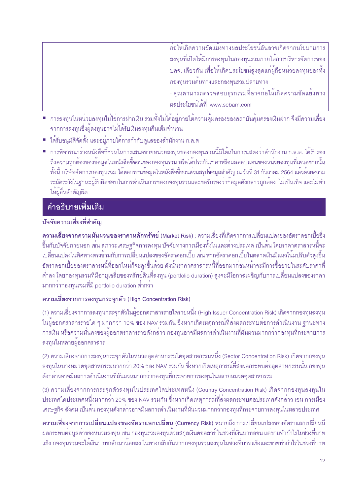| ีก่อให้เกิดความขัดแย <sup>้</sup> งทางผลประโยชน์อันอาจเกิดจากนโยบายการ                                    |
|-----------------------------------------------------------------------------------------------------------|
| ิลงทุนที่เปิดให <sup>้</sup> มีการลงทุนในกองทุนรวมภายใต <sup>้</sup> การบริหารจัดการของ                   |
| บลจ. เดียวกัน เพื่อให <sup>้</sup> เกิดประโยชน์สูงสุดแก <sup>่</sup> ผู้ถือหน <sup>่</sup> วยลงทุนของทั้ง |
| กองทุนรวมตนทางและกองทุนรวมปลายทาง                                                                         |
| - คุณสามารถตรวจสอบธุรกรรมที่อาจก่อให้เกิดความขัดแย้งทาง                                                   |
| ผลประโยชน์ได้ที่ www.scbam.com                                                                            |

- การลงทุนในหน่วยลงทุนไม่ใช่การฝากเงิน รวมทั้งไม่ได้อยู่ภายใต้ความคุ้มครองของสถาบันคุ้มครองเงินฝาก จึงมีความเสี่ยง ิจากการลงทุนซึ่งผู้ลงทุนอาจไม่ได้รับเงินลงทุนคืนเต็มจำนวน
- ได้รับอนุมัติจัดตั้ง และอยู่ภายใต้การกำกับดูแลของสำนักงาน ก.ล.ต
- การพิจารณารางหนังสือชี้ชวนในการเสนอขายหน่วยลงทุนของกองทุนรวมนี้มิได้เป็นการแสดงว่าสำนักงาน ก.ล.ต. ได้รับรอง ้ถึงความถูกต้องของข้อมูลในหนังสือชี้ชวนของกองทุนรวม หรือได้ประกันราคาหรือผลตอบแทนของหน่วยลงทุนที่เสนอขายนั้น ้ทั้งนี้ บริษัทจัดการกองทุนรวม ได้สอบทานข้อมูลในหนังสือชี้ชวนส่วนสรุปข้อมูลสำคัญ ณ วันที่ 31 ธันวาคม 2564 แล้วด้วยความ ระมัดระวังในฐานะผู้รับผิดชอบในการดำเนินการของกองทุนรวมและขอรับรองว่าข้อมูลดังกล่าวถูกต้อง ไม่เป็นเท็จ และไม่ทำ ให้ผู้อื่นลำคัญผิด

## <u>้คำอธิบายเพิ่มเติม</u>

## บัจจัยความเสี่ยงที่สำคัญ

ี ความเสี่ยงจากความผันผวนของราคาหลักทรัพย์ (Market Risk) : ความเสี่ยงที่เกิดจากการเปลี่ยนแปลงของอัตราดอกเบี้ยซึ่ง ์ ขึ้นกับบัจจัยภายนอก เช่น สภาวะเศรษฐกิจการลงทุน บัจจัยทางการเมืองทั้งในและต่างประเทศ เป็นต้น โดยราคาตราสารหนี้จะ เปลี่ยนแปลงในทิศทางตรงข้ามกับการเปลี่ยนแปลงของอัตราดอกเบี้ย เช่น หากอัตราดอกเบี้ยในตลาดเงินมีแนวโน้มปรับตัวสูงขึ้น ้อัตราดอกเบี้ยของตราสารหนี้ที่ออกใหม่ก็จะสูงขึ้นด้วย ดังนั้นราคาตราสารหนี้ที่ออกมาก่อนหน<sup>้</sup>าจะมีการซื้อขายในระดับราคาที่ ้ต่ำลง โดยกองทุนรวมที่มีอายุเฉลี่ยของทรัพย์สินที่ลงทุน (portfolio duration) สูงจะมีโอกาสเผชิญกับการเปลี่ยนแปลงของราคา มากกว่ากองทุนรวมที่มี portfolio duration ต่ำกว<sup>่</sup>า

## ความเสี่ยงจากการลงทนกระจกตัว (High Concentration Risk)

(1) ความเสี่ยงจากการลงทุนกระจุกตัวในผู้ออกตราสารรายใดรายหนึ่ง (High Issuer Concentration Risk) เกิดจากกองทุนลงทุน ในผู้ออกตราสารรายใด ๆ มากกว<sup>่</sup>า 10% ของ NAV รวมกัน ซึ่งหากเกิดเหตุการณ์ที่ส่งผลกระทบต<sup>่</sup>อการดำเนินงาน ฐานะทาง ิการเงิน หรือความมั่นคงของผู้ออกตราสารรายดังกล่าว กองทุนอาจมีผลการดำเนินงานที่ผันผวนมากกว่ากองทุนที่กระจายการ ิลงทุนในหลายผู้ออกตราสาร

(2) ความเสี่ยงจากการลงทุนกระจุกตัวในหมวดอุตสาหกรรมใดอุตสาหกรรมหนึ่ง (Sector Concentration Risk) เกิดจากกองทุน ิลงทุนในบางหมวดอุตสาหกรรมมากกว่า 20% ของ NAV รวมกัน ซึ่งหากเกิดเหตุการณ์ที่ส่งผลกระทบต่ออุตสาหกรรมนั้น กองทุน ้ดังกล่าวอาจมีผลการดำเนินงานที่ผันผวนมากกว่ากองทุนที่กระจายการลงทุนในหลายหมวดอุตสาหกรรม

(3) ความเสี่ยงจากการกระจุกตัวลงทุนในประเทศใดประเทศหนึ่ง (Country Concentration Risk) เกิดจากกองทุนลงทุนใน ู ประเทศใดประเทศหนึ่งมากกว<sup>่</sup>า 20% ของ NAV รวมกัน ซึ่งหากเกิดเหตุการณ์ที่ส่งผลกระทบต<sup>่</sup>อประเทศดังกล**่าว เช**่น การเมือง ้ เศรษฐกิจ สังคม เป็นต้น กองทุนดังกล่าวอาจมีผลการดำเนินงานที่ผันผวนมากกว่ากองทุนที่กระจายการลงทุนในหลายประเทศ

ี ความเสี่ยงจากการเปลี่ยนแปลงของอัตราแลกเปลี่ยน (Currency Risk) หมายถึง การเปลี่ยนแปลงของอัตราแลกเปลี่ยนมี ้ ผลกระทบต่อมูลค่าของหน่วยลงทุน เช่น กองทุนรวมลงทุนด้วยสกุลเงินดอลลาร์ ในช่วงที่เงินบาทอ่อน แต่ขายทำกำไรในช่วงที่บาท ้แข็ง กองทุนรวมจะได้เงินบาทกลับมาน้อยลง ในทางกลับกันหากกองทุนรวมลงทุนในช่วงที่บาทแข็งและขายทำกำไรในช่วงที่บาท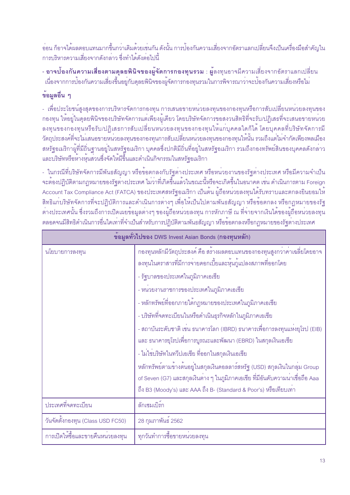้ออน ก็อาจได<sup>้</sup>ผลตอบแทนมากขึ้นกว<sup>่</sup>าเดิมด<sup>้</sup>วยเช่นกัน ดังนั้น การป<sup>้</sup>องกันความเสี่ยงจากอัตราแลกเปลี่ยนจึงเป็นเครื่องมือสำคัญใน การบริหารความเสี่ยงจากดังกล่าว ซึ่งทำได้ดังต่อไปนี้

- <mark>อาจป<sup>้</sup>องกันความเสี่ยงตามดุลยพินิจของผู้จัดการกองทุนรวม : ผู</mark>้ลงทุนอาจมีความเสี่ยงจากอัตราแลกเปลี่ยน ้<br>เนื่องจากการป้องกันความเสี่ยงขึ้นอยู่กับดุลยพินิจของผู้จัดการกองทุนรวมในการพิจารณาว<sup>่</sup>าจะป้องกันความเสี่ยงหรือไม<sup>่</sup>

## ข้อมูลอื่น ๆ

- เพื่อประโยชน์สูงสุดของการบริหารจัดการกองทุน การเสนอขายหน่วยลงทุนของกองทุนหรือการสับเปลี่ยนหน่วยลงทุนของ ึกองทุน ให้อยู่ในดุลยพินิจของบริษัทจัดการแต่เพียงผู้เดียว โดยบริษัทจัดการขอสงวนสิทธิที่จะรับ/ปฎิเสธที่จะเสนอขายหน่วย ้ลงทุนของกองทุนหรือรับ/ปฏิเสธการสับเปลี่ยนหน่วยลงทุนของกองทุนให้แก่บุคคลใดก็ได้ โดยบุคคลที่บริษัทจัดการมี ้วัตถุประสงค์ที่จะไม่เสนอขายหน่วยลงทุนของกองทุนการสับเปลี่ยนหน่วยลงทุนของกองทุนให้นั้น รวมถึงแต่ไม่จำกัดเพียงพลเมือง สหรัฐอเมริกาผู้ที่มีถิ่นฐานอยู่ในสหรัฐอเมริกา บุคคลซึ่งปกติมีถิ่นที่อยู่ในสหรัฐอเมริกา รวมถึงกองทรัพย์สินของบุคคลดังกล่าว และบริษัทหรือห้างหุ้นส่วนซึ่งจัดให้มีขึ้นและดำเนินกิจกรรมในสหรัฐอเมริกา

- ในกรณีที่บริษัทจัดการมีพันธสัญญา หรือข้อตกลงกับรัฐตางประเทศ หรือหน่วยงานของรัฐต่างประเทศ หรือมีความจำเป็น ้<br>จะต้องปฏิบัติตามกฎหมายของรัฐตางประเทศ ไม่ว่าที่เกิดขึ้นแล**้วในขณะนี้หรือจะเกิดขึ้นในอนาคต เช**่น ดำเนินการตาม Foreign Account Tax Compliance Act (FATCA) ของประเทศสหรัฐอเมริกา เป็นต้น ผู้ถือหน่วยลงทุนได้รับทราบและตกลงยินยอมให้ ่ สิทธิแก่บริษัทจัดการที่จะปฏิบัติการและดำเนินการต่างๆ เพื่อให้เป็นไปตามพันธสัญญา หรือข้อตกลง หรือกฎหมายของรัฐ ์ ต่างประเทศนั้น ซึ่งรวมถึงการเปิดเผยข้อมูลต่างๆ ของผู้ถือหน่วยลงทุน การหักภาษี ณ ที่จ่ายจากเงินได้ของผู้ถือหน่วยลงทุน ิตลอดจนมีสิทธิดำเนินการอื่นใดเท่าที่จำเป็นสำหรับการปฏิบัติตามพันธสัญญา หรือข้อตกลงหรือกฎหมายของรัฐต่างประเทศ

| ข้อมูลทั่วไปของ DWS Invest Asian Bonds (กองทุนหลัก)         |                                                                                                                                                                                                                                                                                      |  |  |  |
|-------------------------------------------------------------|--------------------------------------------------------------------------------------------------------------------------------------------------------------------------------------------------------------------------------------------------------------------------------------|--|--|--|
| นโยบายการลงทุน                                              | กองทุนหลักมีวัตถุประสงค์ คือ สร้างผลตอบแทนของกองทุนสูงกว่าค่าเฉลี่ยโดยอาจ<br>ลงทุนในตราสารที่มีการจ่ายดอกเบี้ยและหุ้นกู้แปลงสภาพที่ออกโดย                                                                                                                                            |  |  |  |
|                                                             | - รัฐบาลของประเทศในภูมิภาคเอเชีย                                                                                                                                                                                                                                                     |  |  |  |
|                                                             | - หนวยงานราชการของประเทศในภูมิภาคเอเชีย                                                                                                                                                                                                                                              |  |  |  |
|                                                             | - หลักทรัพย์ที่ออกภายใต <sup>้</sup> กฎหมายของประเทศในภูมิภาคเอเชีย                                                                                                                                                                                                                  |  |  |  |
|                                                             | - บริษัทที่จดทะเบียนในหรือดำเนินธุรกิจหลักในภูมิภาคเอเชีย                                                                                                                                                                                                                            |  |  |  |
|                                                             | - สถาบันระดับชาติ เช่น ธนาคารโลก (IBRD) ธนาคารเพื่อการลงทุนแห <b>่</b> งยุโรป (EIB)<br>และ ธนาคารยุโรปเพื่อการบูรณะและพัฒนา (EBRD) ในสกุลเงินเอเชีย                                                                                                                                  |  |  |  |
|                                                             | - ไม่ใช่บริษัทในทวีปเอเชีย ที่ออกในสกุลเงินเอเชีย                                                                                                                                                                                                                                    |  |  |  |
|                                                             | หลักทรัพย์ตามข้างต <sup>้</sup> นอยู่ในสกุลเงินดอลลาร <sup>์</sup> สหรัฐ (USD) สกุลเงินในกลุ่ม Group<br>of Seven (G7) และสกุลเงินต <sup>่</sup> าง ๆ ในภูมิภาคเอเชีย ที่มีอันดับความน <sup>่</sup> าเชื่อถือ Aaa<br>ถึง B3 (Moody's) และ AAA ถึง B- (Standard & Poor's) หรือเทียบเทา |  |  |  |
| ประเทศที่จดทะเบียน                                          | ลักเซมเบิร์ก                                                                                                                                                                                                                                                                         |  |  |  |
| วันจัดตั้งกองทุน (Class USD FC50)                           | 28 กุมภาพันธ์ 2562                                                                                                                                                                                                                                                                   |  |  |  |
| การเปิดให <sup>้</sup> ขึ้อและขายคืนหน <sup>่</sup> วยลงทุน | ทุกวันทำการซื้อขายหน่วยลงทุน                                                                                                                                                                                                                                                         |  |  |  |